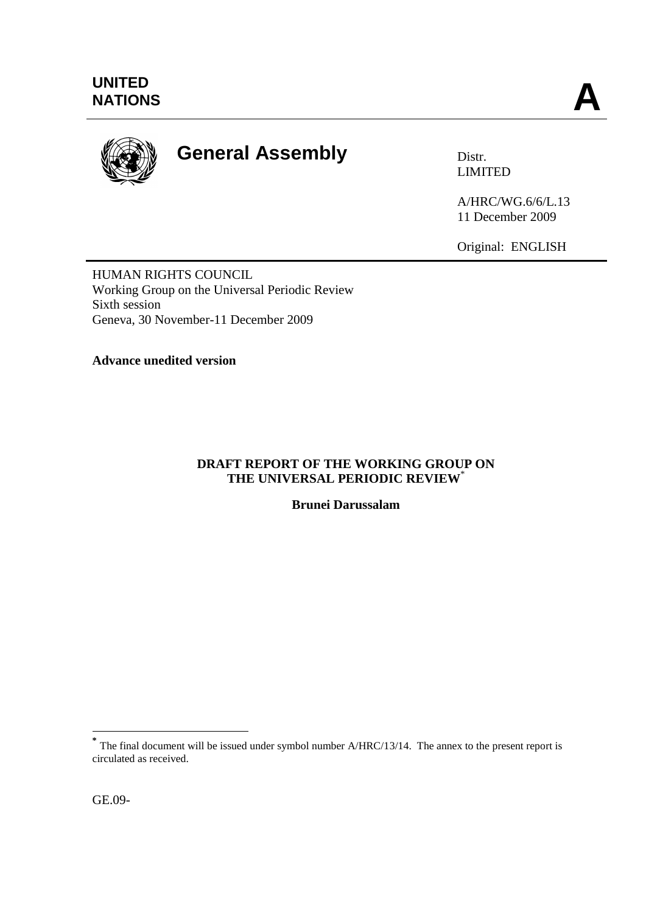

# **General Assembly** Distr.

LIMITED

A/HRC/WG.6/6/L.13 11 December 2009

Original: ENGLISH

HUMAN RIGHTS COUNCIL Working Group on the Universal Periodic Review Sixth session Geneva, 30 November-11 December 2009

**Advance unedited version**

## **DRAFT REPORT OF THE WORKING GROUP ON THE UNIVERSAL PERIODIC REVIEW**\*

**Brunei Darussalam**

<sup>&</sup>lt;sup>\*</sup><br>
The final document will be issued under symbol number A/HRC/13/14. The annex to the present report is circulated as received.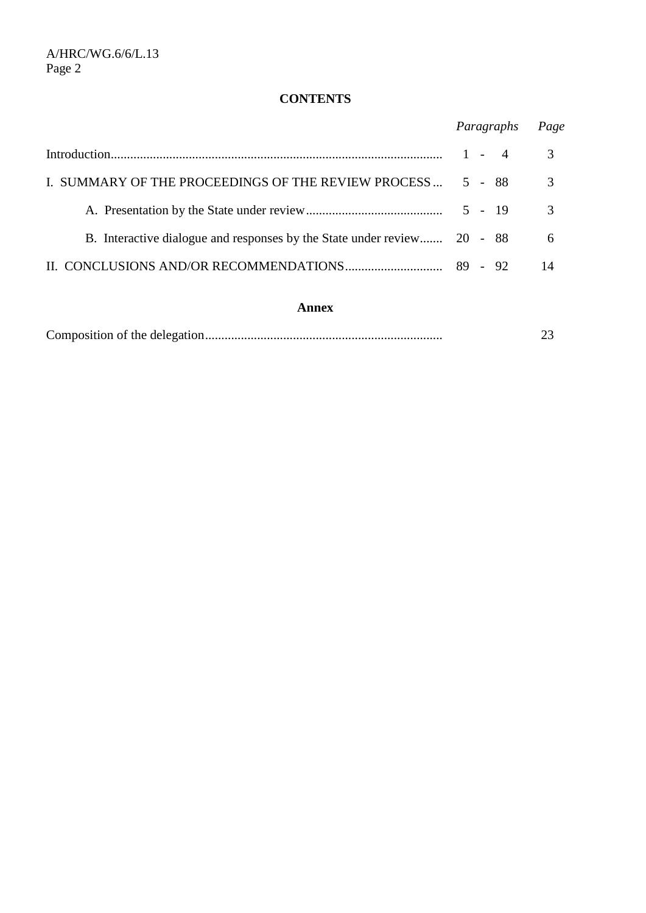## **CONTENTS**

|                                                                         |                                                             |  | Page |    |
|-------------------------------------------------------------------------|-------------------------------------------------------------|--|------|----|
|                                                                         | Paragraphs<br>3<br>3<br>5 - 88<br>$\mathcal{R}$<br>$5 - 19$ |  |      |    |
| I. SUMMARY OF THE PROCEEDINGS OF THE REVIEW PROCESS                     |                                                             |  |      |    |
|                                                                         |                                                             |  |      |    |
| B. Interactive dialogue and responses by the State under review 20 - 88 |                                                             |  |      | 6  |
|                                                                         |                                                             |  |      | 14 |

## **Annex**

|--|--|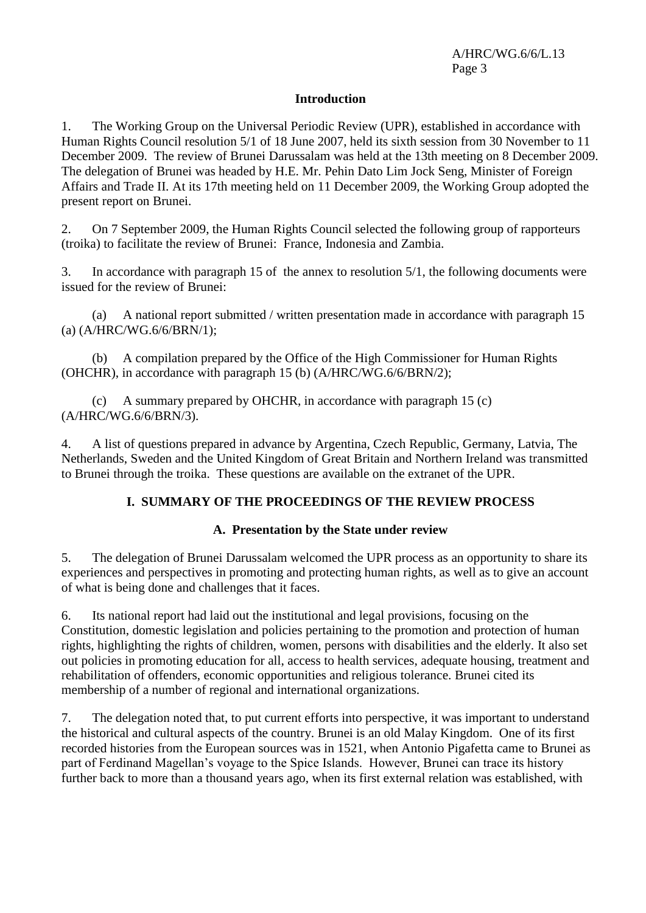## **Introduction**

1. The Working Group on the Universal Periodic Review (UPR), established in accordance with Human Rights Council resolution 5/1 of 18 June 2007, held its sixth session from 30 November to 11 December 2009. The review of Brunei Darussalam was held at the 13th meeting on 8 December 2009. The delegation of Brunei was headed by H.E. Mr. Pehin Dato Lim Jock Seng, Minister of Foreign Affairs and Trade II. At its 17th meeting held on 11 December 2009, the Working Group adopted the present report on Brunei.

2. On 7 September 2009, the Human Rights Council selected the following group of rapporteurs (troika) to facilitate the review of Brunei: France, Indonesia and Zambia.

3. In accordance with paragraph 15 of the annex to resolution 5/1, the following documents were issued for the review of Brunei:

(a) A national report submitted / written presentation made in accordance with paragraph 15 (a) (A/HRC/WG.6/6/BRN/1);

(b) A compilation prepared by the Office of the High Commissioner for Human Rights (OHCHR), in accordance with paragraph 15 (b) (A/HRC/WG.6/6/BRN/2);

(c) A summary prepared by OHCHR, in accordance with paragraph 15 (c) (A/HRC/WG.6/6/BRN/3).

4. A list of questions prepared in advance by Argentina, Czech Republic, Germany, Latvia, The Netherlands, Sweden and the United Kingdom of Great Britain and Northern Ireland was transmitted to Brunei through the troika. These questions are available on the extranet of the UPR.

## **I. SUMMARY OF THE PROCEEDINGS OF THE REVIEW PROCESS**

## **A. Presentation by the State under review**

5. The delegation of Brunei Darussalam welcomed the UPR process as an opportunity to share its experiences and perspectives in promoting and protecting human rights, as well as to give an account of what is being done and challenges that it faces.

6. Its national report had laid out the institutional and legal provisions, focusing on the Constitution, domestic legislation and policies pertaining to the promotion and protection of human rights, highlighting the rights of children, women, persons with disabilities and the elderly. It also set out policies in promoting education for all, access to health services, adequate housing, treatment and rehabilitation of offenders, economic opportunities and religious tolerance. Brunei cited its membership of a number of regional and international organizations.

7. The delegation noted that, to put current efforts into perspective, it was important to understand the historical and cultural aspects of the country. Brunei is an old Malay Kingdom. One of its first recorded histories from the European sources was in 1521, when Antonio Pigafetta came to Brunei as part of Ferdinand Magellan's voyage to the Spice Islands. However, Brunei can trace its history further back to more than a thousand years ago, when its first external relation was established, with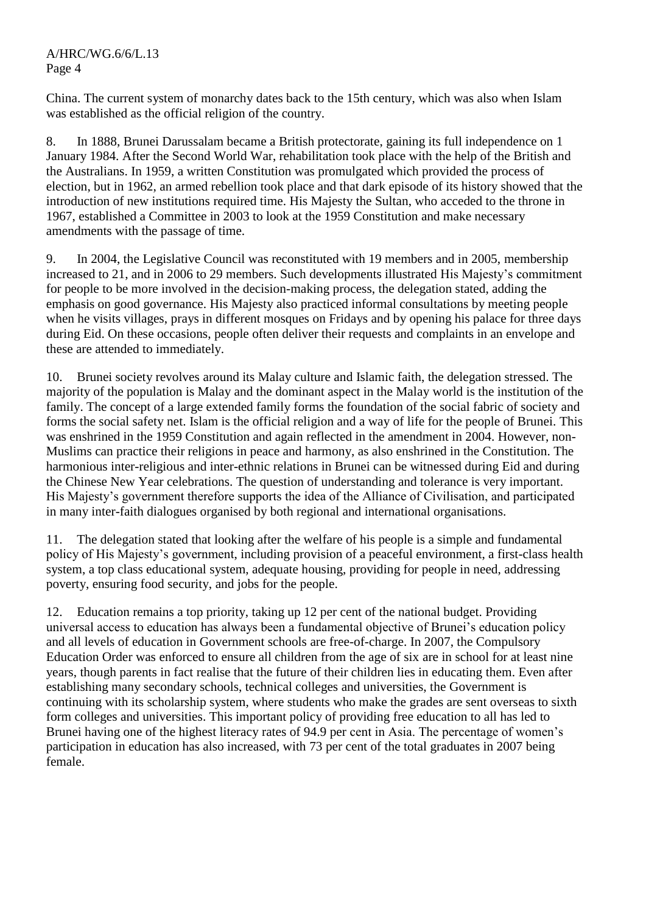China. The current system of monarchy dates back to the 15th century, which was also when Islam was established as the official religion of the country.

8. In 1888, Brunei Darussalam became a British protectorate, gaining its full independence on 1 January 1984. After the Second World War, rehabilitation took place with the help of the British and the Australians. In 1959, a written Constitution was promulgated which provided the process of election, but in 1962, an armed rebellion took place and that dark episode of its history showed that the introduction of new institutions required time. His Majesty the Sultan, who acceded to the throne in 1967, established a Committee in 2003 to look at the 1959 Constitution and make necessary amendments with the passage of time.

9. In 2004, the Legislative Council was reconstituted with 19 members and in 2005, membership increased to 21, and in 2006 to 29 members. Such developments illustrated His Majesty's commitment for people to be more involved in the decision-making process, the delegation stated, adding the emphasis on good governance. His Majesty also practiced informal consultations by meeting people when he visits villages, prays in different mosques on Fridays and by opening his palace for three days during Eid. On these occasions, people often deliver their requests and complaints in an envelope and these are attended to immediately.

10. Brunei society revolves around its Malay culture and Islamic faith, the delegation stressed. The majority of the population is Malay and the dominant aspect in the Malay world is the institution of the family. The concept of a large extended family forms the foundation of the social fabric of society and forms the social safety net. Islam is the official religion and a way of life for the people of Brunei. This was enshrined in the 1959 Constitution and again reflected in the amendment in 2004. However, non-Muslims can practice their religions in peace and harmony, as also enshrined in the Constitution. The harmonious inter-religious and inter-ethnic relations in Brunei can be witnessed during Eid and during the Chinese New Year celebrations. The question of understanding and tolerance is very important. His Majesty's government therefore supports the idea of the Alliance of Civilisation, and participated in many inter-faith dialogues organised by both regional and international organisations.

11. The delegation stated that looking after the welfare of his people is a simple and fundamental policy of His Majesty's government, including provision of a peaceful environment, a first-class health system, a top class educational system, adequate housing, providing for people in need, addressing poverty, ensuring food security, and jobs for the people.

12. Education remains a top priority, taking up 12 per cent of the national budget. Providing universal access to education has always been a fundamental objective of Brunei's education policy and all levels of education in Government schools are free-of-charge. In 2007, the Compulsory Education Order was enforced to ensure all children from the age of six are in school for at least nine years, though parents in fact realise that the future of their children lies in educating them. Even after establishing many secondary schools, technical colleges and universities, the Government is continuing with its scholarship system, where students who make the grades are sent overseas to sixth form colleges and universities. This important policy of providing free education to all has led to Brunei having one of the highest literacy rates of 94.9 per cent in Asia. The percentage of women's participation in education has also increased, with 73 per cent of the total graduates in 2007 being female.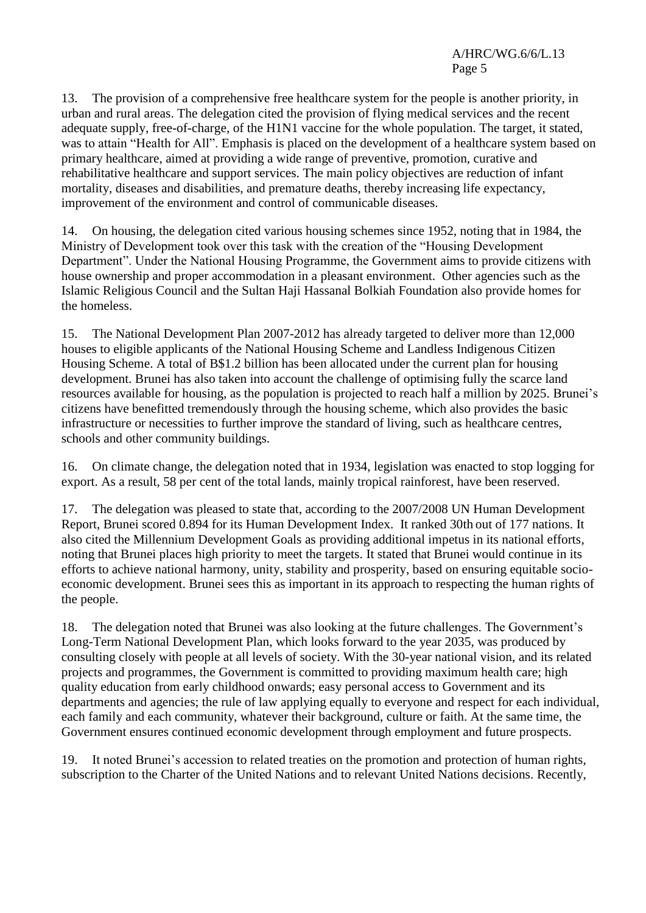13. The provision of a comprehensive free healthcare system for the people is another priority, in urban and rural areas. The delegation cited the provision of flying medical services and the recent adequate supply, free-of-charge, of the H1N1 vaccine for the whole population. The target, it stated, was to attain "Health for All". Emphasis is placed on the development of a healthcare system based on primary healthcare, aimed at providing a wide range of preventive, promotion, curative and rehabilitative healthcare and support services. The main policy objectives are reduction of infant mortality, diseases and disabilities, and premature deaths, thereby increasing life expectancy, improvement of the environment and control of communicable diseases.

14. On housing, the delegation cited various housing schemes since 1952, noting that in 1984, the Ministry of Development took over this task with the creation of the "Housing Development Department". Under the National Housing Programme, the Government aims to provide citizens with house ownership and proper accommodation in a pleasant environment. Other agencies such as the Islamic Religious Council and the Sultan Haji Hassanal Bolkiah Foundation also provide homes for the homeless.

15. The National Development Plan 2007-2012 has already targeted to deliver more than 12,000 houses to eligible applicants of the National Housing Scheme and Landless Indigenous Citizen Housing Scheme. A total of B\$1.2 billion has been allocated under the current plan for housing development. Brunei has also taken into account the challenge of optimising fully the scarce land resources available for housing, as the population is projected to reach half a million by 2025. Brunei's citizens have benefitted tremendously through the housing scheme, which also provides the basic infrastructure or necessities to further improve the standard of living, such as healthcare centres, schools and other community buildings.

16. On climate change, the delegation noted that in 1934, legislation was enacted to stop logging for export. As a result, 58 per cent of the total lands, mainly tropical rainforest, have been reserved.

17. The delegation was pleased to state that, according to the 2007/2008 UN Human Development Report, Brunei scored 0.894 for its Human Development Index. It ranked 30th out of 177 nations. It also cited the Millennium Development Goals as providing additional impetus in its national efforts, noting that Brunei places high priority to meet the targets. It stated that Brunei would continue in its efforts to achieve national harmony, unity, stability and prosperity, based on ensuring equitable socioeconomic development. Brunei sees this as important in its approach to respecting the human rights of the people.

18. The delegation noted that Brunei was also looking at the future challenges. The Government's Long-Term National Development Plan, which looks forward to the year 2035, was produced by consulting closely with people at all levels of society. With the 30-year national vision, and its related projects and programmes, the Government is committed to providing maximum health care; high quality education from early childhood onwards; easy personal access to Government and its departments and agencies; the rule of law applying equally to everyone and respect for each individual, each family and each community, whatever their background, culture or faith. At the same time, the Government ensures continued economic development through employment and future prospects.

19. It noted Brunei's accession to related treaties on the promotion and protection of human rights, subscription to the Charter of the United Nations and to relevant United Nations decisions. Recently,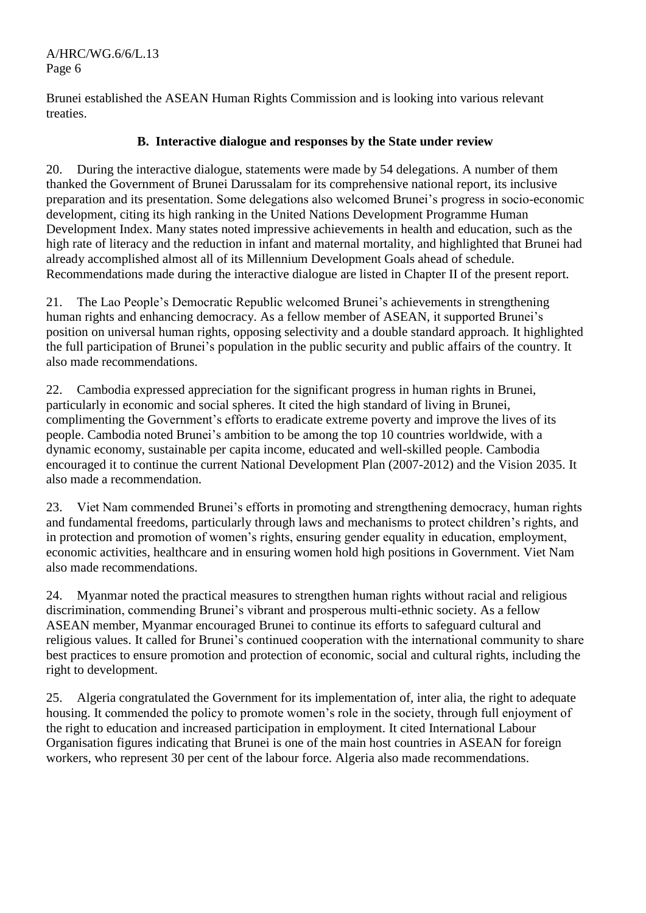Brunei established the ASEAN Human Rights Commission and is looking into various relevant treaties.

## **B. Interactive dialogue and responses by the State under review**

20. During the interactive dialogue, statements were made by 54 delegations. A number of them thanked the Government of Brunei Darussalam for its comprehensive national report, its inclusive preparation and its presentation. Some delegations also welcomed Brunei's progress in socio-economic development, citing its high ranking in the United Nations Development Programme Human Development Index. Many states noted impressive achievements in health and education, such as the high rate of literacy and the reduction in infant and maternal mortality, and highlighted that Brunei had already accomplished almost all of its Millennium Development Goals ahead of schedule. Recommendations made during the interactive dialogue are listed in Chapter II of the present report.

21. The Lao People's Democratic Republic welcomed Brunei's achievements in strengthening human rights and enhancing democracy. As a fellow member of ASEAN, it supported Brunei's position on universal human rights, opposing selectivity and a double standard approach. It highlighted the full participation of Brunei's population in the public security and public affairs of the country. It also made recommendations.

22. Cambodia expressed appreciation for the significant progress in human rights in Brunei, particularly in economic and social spheres. It cited the high standard of living in Brunei, complimenting the Government's efforts to eradicate extreme poverty and improve the lives of its people. Cambodia noted Brunei's ambition to be among the top 10 countries worldwide, with a dynamic economy, sustainable per capita income, educated and well-skilled people. Cambodia encouraged it to continue the current National Development Plan (2007-2012) and the Vision 2035. It also made a recommendation.

23. Viet Nam commended Brunei's efforts in promoting and strengthening democracy, human rights and fundamental freedoms, particularly through laws and mechanisms to protect children's rights, and in protection and promotion of women's rights, ensuring gender equality in education, employment, economic activities, healthcare and in ensuring women hold high positions in Government. Viet Nam also made recommendations.

24. Myanmar noted the practical measures to strengthen human rights without racial and religious discrimination, commending Brunei's vibrant and prosperous multi-ethnic society. As a fellow ASEAN member, Myanmar encouraged Brunei to continue its efforts to safeguard cultural and religious values. It called for Brunei's continued cooperation with the international community to share best practices to ensure promotion and protection of economic, social and cultural rights, including the right to development.

25. Algeria congratulated the Government for its implementation of, inter alia, the right to adequate housing. It commended the policy to promote women's role in the society, through full enjoyment of the right to education and increased participation in employment. It cited International Labour Organisation figures indicating that Brunei is one of the main host countries in ASEAN for foreign workers, who represent 30 per cent of the labour force. Algeria also made recommendations.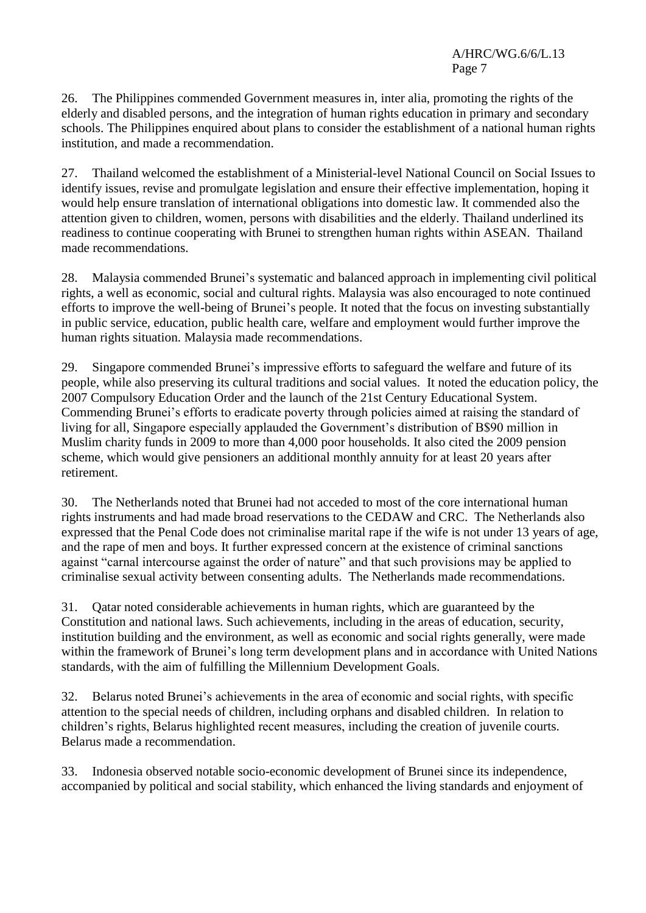26. The Philippines commended Government measures in, inter alia, promoting the rights of the elderly and disabled persons, and the integration of human rights education in primary and secondary schools. The Philippines enquired about plans to consider the establishment of a national human rights institution, and made a recommendation.

27. Thailand welcomed the establishment of a Ministerial-level National Council on Social Issues to identify issues, revise and promulgate legislation and ensure their effective implementation, hoping it would help ensure translation of international obligations into domestic law. It commended also the attention given to children, women, persons with disabilities and the elderly. Thailand underlined its readiness to continue cooperating with Brunei to strengthen human rights within ASEAN. Thailand made recommendations.

28. Malaysia commended Brunei's systematic and balanced approach in implementing civil political rights, a well as economic, social and cultural rights. Malaysia was also encouraged to note continued efforts to improve the well-being of Brunei's people. It noted that the focus on investing substantially in public service, education, public health care, welfare and employment would further improve the human rights situation. Malaysia made recommendations.

29. Singapore commended Brunei's impressive efforts to safeguard the welfare and future of its people, while also preserving its cultural traditions and social values. It noted the education policy, the 2007 Compulsory Education Order and the launch of the 21st Century Educational System. Commending Brunei's efforts to eradicate poverty through policies aimed at raising the standard of living for all, Singapore especially applauded the Government's distribution of B\$90 million in Muslim charity funds in 2009 to more than 4,000 poor households. It also cited the 2009 pension scheme, which would give pensioners an additional monthly annuity for at least 20 years after retirement.

30. The Netherlands noted that Brunei had not acceded to most of the core international human rights instruments and had made broad reservations to the CEDAW and CRC. The Netherlands also expressed that the Penal Code does not criminalise marital rape if the wife is not under 13 years of age, and the rape of men and boys. It further expressed concern at the existence of criminal sanctions against "carnal intercourse against the order of nature" and that such provisions may be applied to criminalise sexual activity between consenting adults. The Netherlands made recommendations.

31. Qatar noted considerable achievements in human rights, which are guaranteed by the Constitution and national laws. Such achievements, including in the areas of education, security, institution building and the environment, as well as economic and social rights generally, were made within the framework of Brunei's long term development plans and in accordance with United Nations standards, with the aim of fulfilling the Millennium Development Goals.

32. Belarus noted Brunei's achievements in the area of economic and social rights, with specific attention to the special needs of children, including orphans and disabled children. In relation to children's rights, Belarus highlighted recent measures, including the creation of juvenile courts. Belarus made a recommendation.

33. Indonesia observed notable socio-economic development of Brunei since its independence, accompanied by political and social stability, which enhanced the living standards and enjoyment of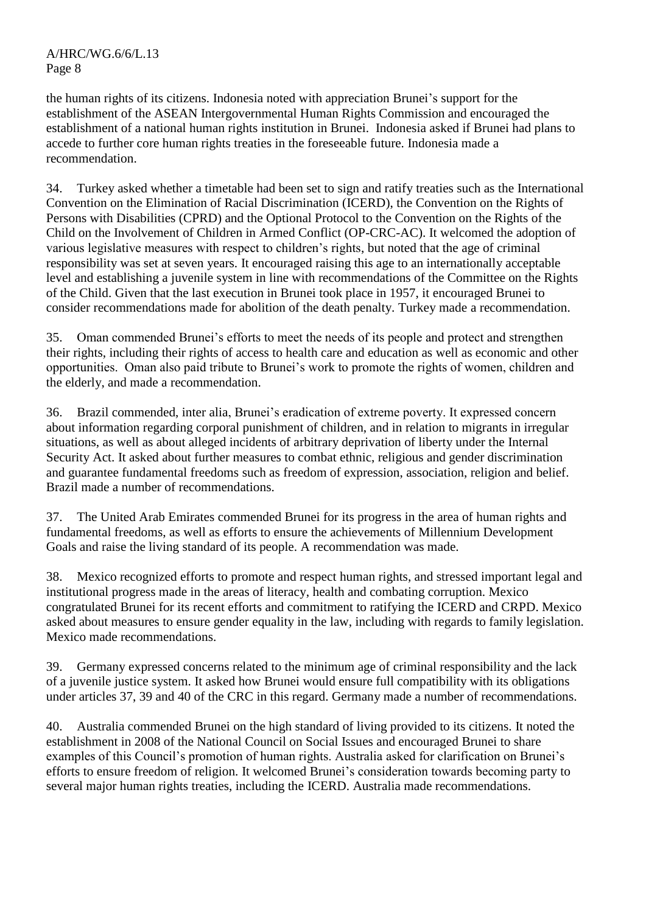the human rights of its citizens. Indonesia noted with appreciation Brunei's support for the establishment of the ASEAN Intergovernmental Human Rights Commission and encouraged the establishment of a national human rights institution in Brunei. Indonesia asked if Brunei had plans to accede to further core human rights treaties in the foreseeable future. Indonesia made a recommendation.

34. Turkey asked whether a timetable had been set to sign and ratify treaties such as the International Convention on the Elimination of Racial Discrimination (ICERD), the Convention on the Rights of Persons with Disabilities (CPRD) and the Optional Protocol to the Convention on the Rights of the Child on the Involvement of Children in Armed Conflict (OP-CRC-AC). It welcomed the adoption of various legislative measures with respect to children's rights, but noted that the age of criminal responsibility was set at seven years. It encouraged raising this age to an internationally acceptable level and establishing a juvenile system in line with recommendations of the Committee on the Rights of the Child. Given that the last execution in Brunei took place in 1957, it encouraged Brunei to consider recommendations made for abolition of the death penalty. Turkey made a recommendation.

35. Oman commended Brunei's efforts to meet the needs of its people and protect and strengthen their rights, including their rights of access to health care and education as well as economic and other opportunities. Oman also paid tribute to Brunei's work to promote the rights of women, children and the elderly, and made a recommendation.

36. Brazil commended, inter alia, Brunei's eradication of extreme poverty. It expressed concern about information regarding corporal punishment of children, and in relation to migrants in irregular situations, as well as about alleged incidents of arbitrary deprivation of liberty under the Internal Security Act. It asked about further measures to combat ethnic, religious and gender discrimination and guarantee fundamental freedoms such as freedom of expression, association, religion and belief. Brazil made a number of recommendations.

37. The United Arab Emirates commended Brunei for its progress in the area of human rights and fundamental freedoms, as well as efforts to ensure the achievements of Millennium Development Goals and raise the living standard of its people. A recommendation was made.

38. Mexico recognized efforts to promote and respect human rights, and stressed important legal and institutional progress made in the areas of literacy, health and combating corruption. Mexico congratulated Brunei for its recent efforts and commitment to ratifying the ICERD and CRPD. Mexico asked about measures to ensure gender equality in the law, including with regards to family legislation. Mexico made recommendations.

39. Germany expressed concerns related to the minimum age of criminal responsibility and the lack of a juvenile justice system. It asked how Brunei would ensure full compatibility with its obligations under articles 37, 39 and 40 of the CRC in this regard. Germany made a number of recommendations.

40. Australia commended Brunei on the high standard of living provided to its citizens. It noted the establishment in 2008 of the National Council on Social Issues and encouraged Brunei to share examples of this Council's promotion of human rights. Australia asked for clarification on Brunei's efforts to ensure freedom of religion. It welcomed Brunei's consideration towards becoming party to several major human rights treaties, including the ICERD. Australia made recommendations.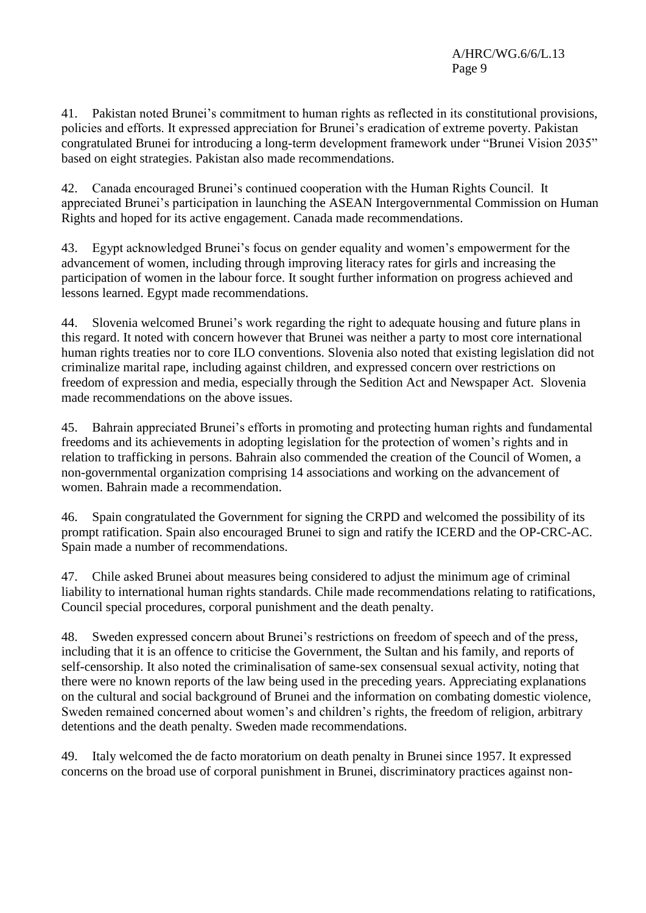41. Pakistan noted Brunei's commitment to human rights as reflected in its constitutional provisions, policies and efforts. It expressed appreciation for Brunei's eradication of extreme poverty. Pakistan congratulated Brunei for introducing a long-term development framework under "Brunei Vision 2035" based on eight strategies. Pakistan also made recommendations.

42. Canada encouraged Brunei's continued cooperation with the Human Rights Council. It appreciated Brunei's participation in launching the ASEAN Intergovernmental Commission on Human Rights and hoped for its active engagement. Canada made recommendations.

43. Egypt acknowledged Brunei's focus on gender equality and women's empowerment for the advancement of women, including through improving literacy rates for girls and increasing the participation of women in the labour force. It sought further information on progress achieved and lessons learned. Egypt made recommendations.

44. Slovenia welcomed Brunei's work regarding the right to adequate housing and future plans in this regard. It noted with concern however that Brunei was neither a party to most core international human rights treaties nor to core ILO conventions. Slovenia also noted that existing legislation did not criminalize marital rape, including against children, and expressed concern over restrictions on freedom of expression and media, especially through the Sedition Act and Newspaper Act. Slovenia made recommendations on the above issues.

45. Bahrain appreciated Brunei's efforts in promoting and protecting human rights and fundamental freedoms and its achievements in adopting legislation for the protection of women's rights and in relation to trafficking in persons. Bahrain also commended the creation of the Council of Women, a non-governmental organization comprising 14 associations and working on the advancement of women. Bahrain made a recommendation.

46. Spain congratulated the Government for signing the CRPD and welcomed the possibility of its prompt ratification. Spain also encouraged Brunei to sign and ratify the ICERD and the OP-CRC-AC. Spain made a number of recommendations.

47. Chile asked Brunei about measures being considered to adjust the minimum age of criminal liability to international human rights standards. Chile made recommendations relating to ratifications, Council special procedures, corporal punishment and the death penalty.

48. Sweden expressed concern about Brunei's restrictions on freedom of speech and of the press, including that it is an offence to criticise the Government, the Sultan and his family, and reports of self-censorship. It also noted the criminalisation of same-sex consensual sexual activity, noting that there were no known reports of the law being used in the preceding years. Appreciating explanations on the cultural and social background of Brunei and the information on combating domestic violence, Sweden remained concerned about women's and children's rights, the freedom of religion, arbitrary detentions and the death penalty. Sweden made recommendations.

49. Italy welcomed the de facto moratorium on death penalty in Brunei since 1957. It expressed concerns on the broad use of corporal punishment in Brunei, discriminatory practices against non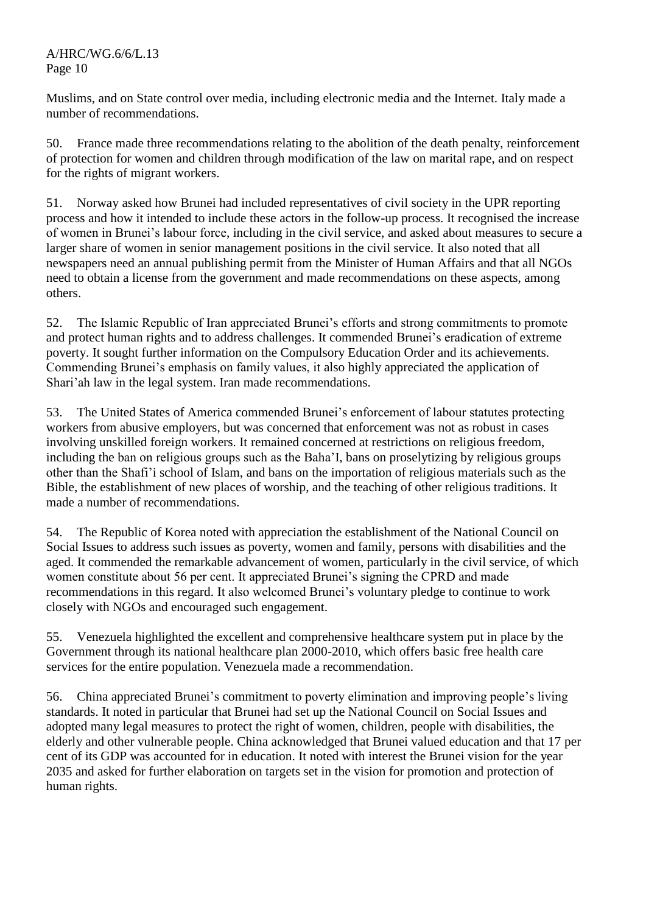Muslims, and on State control over media, including electronic media and the Internet. Italy made a number of recommendations.

50. France made three recommendations relating to the abolition of the death penalty, reinforcement of protection for women and children through modification of the law on marital rape, and on respect for the rights of migrant workers.

51. Norway asked how Brunei had included representatives of civil society in the UPR reporting process and how it intended to include these actors in the follow-up process. It recognised the increase of women in Brunei's labour force, including in the civil service, and asked about measures to secure a larger share of women in senior management positions in the civil service. It also noted that all newspapers need an annual publishing permit from the Minister of Human Affairs and that all NGOs need to obtain a license from the government and made recommendations on these aspects, among others.

52. The Islamic Republic of Iran appreciated Brunei's efforts and strong commitments to promote and protect human rights and to address challenges. It commended Brunei's eradication of extreme poverty. It sought further information on the Compulsory Education Order and its achievements. Commending Brunei's emphasis on family values, it also highly appreciated the application of Shari'ah law in the legal system. Iran made recommendations.

53. The United States of America commended Brunei's enforcement of labour statutes protecting workers from abusive employers, but was concerned that enforcement was not as robust in cases involving unskilled foreign workers. It remained concerned at restrictions on religious freedom, including the ban on religious groups such as the Baha'I, bans on proselytizing by religious groups other than the Shafi'i school of Islam, and bans on the importation of religious materials such as the Bible, the establishment of new places of worship, and the teaching of other religious traditions. It made a number of recommendations.

54. The Republic of Korea noted with appreciation the establishment of the National Council on Social Issues to address such issues as poverty, women and family, persons with disabilities and the aged. It commended the remarkable advancement of women, particularly in the civil service, of which women constitute about 56 per cent. It appreciated Brunei's signing the CPRD and made recommendations in this regard. It also welcomed Brunei's voluntary pledge to continue to work closely with NGOs and encouraged such engagement.

55. Venezuela highlighted the excellent and comprehensive healthcare system put in place by the Government through its national healthcare plan 2000-2010, which offers basic free health care services for the entire population. Venezuela made a recommendation.

56. China appreciated Brunei's commitment to poverty elimination and improving people's living standards. It noted in particular that Brunei had set up the National Council on Social Issues and adopted many legal measures to protect the right of women, children, people with disabilities, the elderly and other vulnerable people. China acknowledged that Brunei valued education and that 17 per cent of its GDP was accounted for in education. It noted with interest the Brunei vision for the year 2035 and asked for further elaboration on targets set in the vision for promotion and protection of human rights.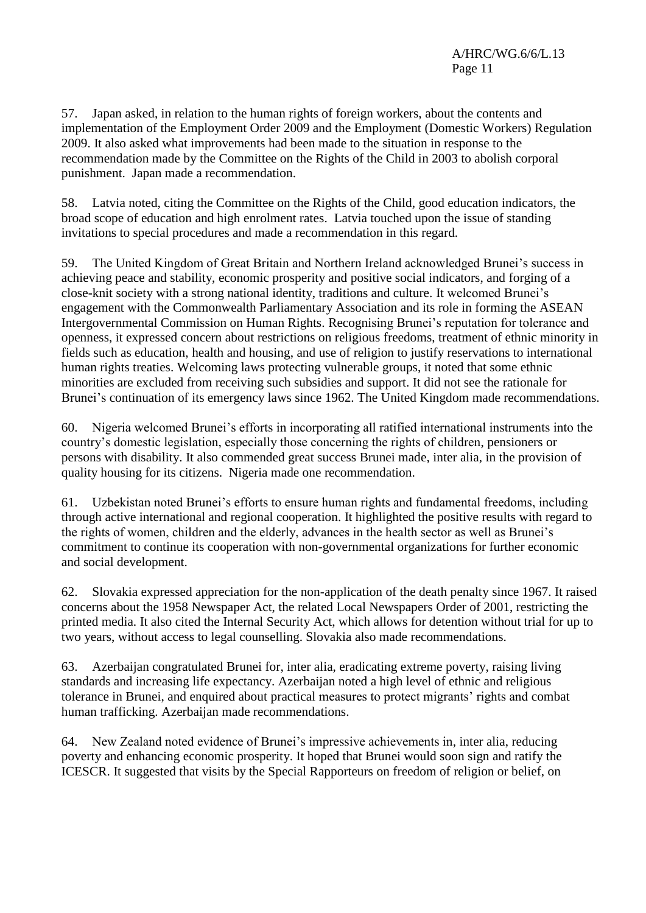57. Japan asked, in relation to the human rights of foreign workers, about the contents and implementation of the Employment Order 2009 and the Employment (Domestic Workers) Regulation 2009. It also asked what improvements had been made to the situation in response to the recommendation made by the Committee on the Rights of the Child in 2003 to abolish corporal punishment. Japan made a recommendation.

58. Latvia noted, citing the Committee on the Rights of the Child, good education indicators, the broad scope of education and high enrolment rates. Latvia touched upon the issue of standing invitations to special procedures and made a recommendation in this regard.

59. The United Kingdom of Great Britain and Northern Ireland acknowledged Brunei's success in achieving peace and stability, economic prosperity and positive social indicators, and forging of a close-knit society with a strong national identity, traditions and culture. It welcomed Brunei's engagement with the Commonwealth Parliamentary Association and its role in forming the ASEAN Intergovernmental Commission on Human Rights. Recognising Brunei's reputation for tolerance and openness, it expressed concern about restrictions on religious freedoms, treatment of ethnic minority in fields such as education, health and housing, and use of religion to justify reservations to international human rights treaties. Welcoming laws protecting vulnerable groups, it noted that some ethnic minorities are excluded from receiving such subsidies and support. It did not see the rationale for Brunei's continuation of its emergency laws since 1962. The United Kingdom made recommendations.

60. Nigeria welcomed Brunei's efforts in incorporating all ratified international instruments into the country's domestic legislation, especially those concerning the rights of children, pensioners or persons with disability. It also commended great success Brunei made, inter alia, in the provision of quality housing for its citizens. Nigeria made one recommendation.

61. Uzbekistan noted Brunei's efforts to ensure human rights and fundamental freedoms, including through active international and regional cooperation. It highlighted the positive results with regard to the rights of women, children and the elderly, advances in the health sector as well as Brunei's commitment to continue its cooperation with non-governmental organizations for further economic and social development.

62. Slovakia expressed appreciation for the non-application of the death penalty since 1967. It raised concerns about the 1958 Newspaper Act, the related Local Newspapers Order of 2001, restricting the printed media. It also cited the Internal Security Act, which allows for detention without trial for up to two years, without access to legal counselling. Slovakia also made recommendations.

63. Azerbaijan congratulated Brunei for, inter alia, eradicating extreme poverty, raising living standards and increasing life expectancy. Azerbaijan noted a high level of ethnic and religious tolerance in Brunei, and enquired about practical measures to protect migrants' rights and combat human trafficking. Azerbaijan made recommendations.

64. New Zealand noted evidence of Brunei's impressive achievements in, inter alia, reducing poverty and enhancing economic prosperity. It hoped that Brunei would soon sign and ratify the ICESCR. It suggested that visits by the Special Rapporteurs on freedom of religion or belief, on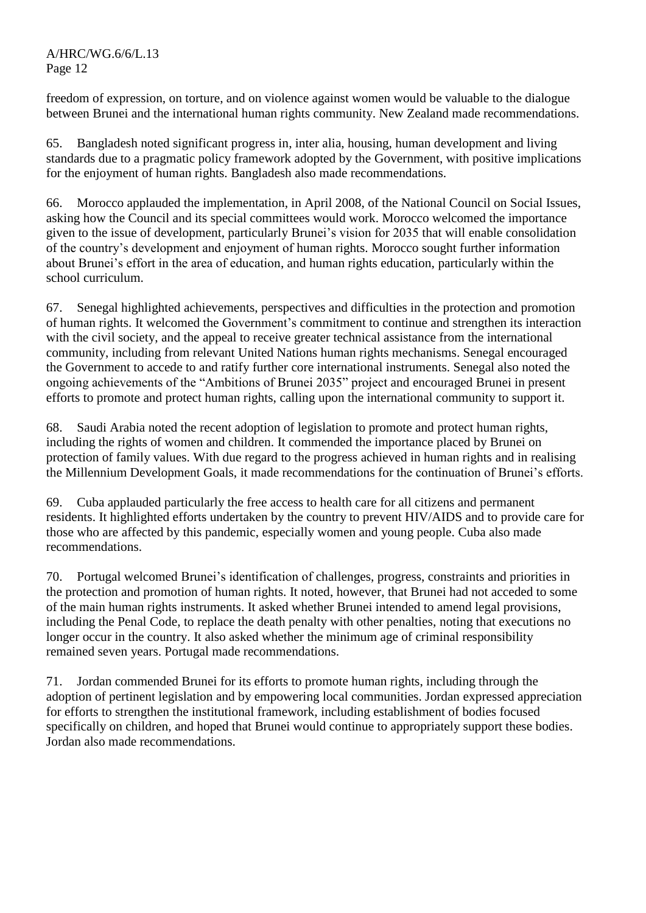freedom of expression, on torture, and on violence against women would be valuable to the dialogue between Brunei and the international human rights community. New Zealand made recommendations.

65. Bangladesh noted significant progress in, inter alia, housing, human development and living standards due to a pragmatic policy framework adopted by the Government, with positive implications for the enjoyment of human rights. Bangladesh also made recommendations.

66. Morocco applauded the implementation, in April 2008, of the National Council on Social Issues, asking how the Council and its special committees would work. Morocco welcomed the importance given to the issue of development, particularly Brunei's vision for 2035 that will enable consolidation of the country's development and enjoyment of human rights. Morocco sought further information about Brunei's effort in the area of education, and human rights education, particularly within the school curriculum.

67. Senegal highlighted achievements, perspectives and difficulties in the protection and promotion of human rights. It welcomed the Government's commitment to continue and strengthen its interaction with the civil society, and the appeal to receive greater technical assistance from the international community, including from relevant United Nations human rights mechanisms. Senegal encouraged the Government to accede to and ratify further core international instruments. Senegal also noted the ongoing achievements of the "Ambitions of Brunei 2035" project and encouraged Brunei in present efforts to promote and protect human rights, calling upon the international community to support it.

68. Saudi Arabia noted the recent adoption of legislation to promote and protect human rights, including the rights of women and children. It commended the importance placed by Brunei on protection of family values. With due regard to the progress achieved in human rights and in realising the Millennium Development Goals, it made recommendations for the continuation of Brunei's efforts.

69. Cuba applauded particularly the free access to health care for all citizens and permanent residents. It highlighted efforts undertaken by the country to prevent HIV/AIDS and to provide care for those who are affected by this pandemic, especially women and young people. Cuba also made recommendations.

70. Portugal welcomed Brunei's identification of challenges, progress, constraints and priorities in the protection and promotion of human rights. It noted, however, that Brunei had not acceded to some of the main human rights instruments. It asked whether Brunei intended to amend legal provisions, including the Penal Code, to replace the death penalty with other penalties, noting that executions no longer occur in the country. It also asked whether the minimum age of criminal responsibility remained seven years. Portugal made recommendations.

71. Jordan commended Brunei for its efforts to promote human rights, including through the adoption of pertinent legislation and by empowering local communities. Jordan expressed appreciation for efforts to strengthen the institutional framework, including establishment of bodies focused specifically on children, and hoped that Brunei would continue to appropriately support these bodies. Jordan also made recommendations.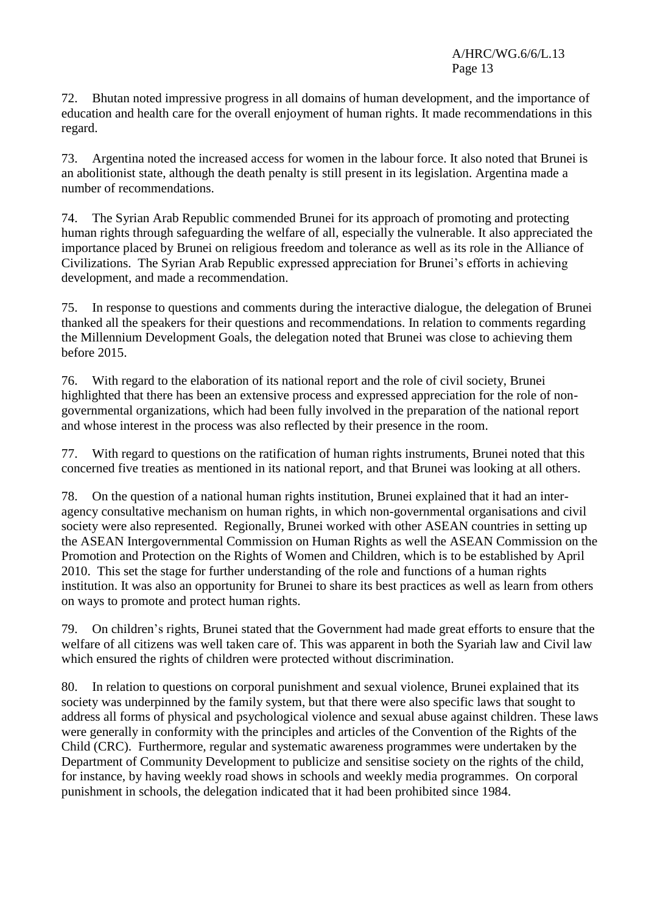72. Bhutan noted impressive progress in all domains of human development, and the importance of education and health care for the overall enjoyment of human rights. It made recommendations in this regard.

73. Argentina noted the increased access for women in the labour force. It also noted that Brunei is an abolitionist state, although the death penalty is still present in its legislation. Argentina made a number of recommendations.

74. The Syrian Arab Republic commended Brunei for its approach of promoting and protecting human rights through safeguarding the welfare of all, especially the vulnerable. It also appreciated the importance placed by Brunei on religious freedom and tolerance as well as its role in the Alliance of Civilizations. The Syrian Arab Republic expressed appreciation for Brunei's efforts in achieving development, and made a recommendation.

75. In response to questions and comments during the interactive dialogue, the delegation of Brunei thanked all the speakers for their questions and recommendations. In relation to comments regarding the Millennium Development Goals, the delegation noted that Brunei was close to achieving them before 2015.

76. With regard to the elaboration of its national report and the role of civil society, Brunei highlighted that there has been an extensive process and expressed appreciation for the role of nongovernmental organizations, which had been fully involved in the preparation of the national report and whose interest in the process was also reflected by their presence in the room.

77. With regard to questions on the ratification of human rights instruments, Brunei noted that this concerned five treaties as mentioned in its national report, and that Brunei was looking at all others.

78. On the question of a national human rights institution, Brunei explained that it had an interagency consultative mechanism on human rights, in which non-governmental organisations and civil society were also represented. Regionally, Brunei worked with other ASEAN countries in setting up the ASEAN Intergovernmental Commission on Human Rights as well the ASEAN Commission on the Promotion and Protection on the Rights of Women and Children, which is to be established by April 2010. This set the stage for further understanding of the role and functions of a human rights institution. It was also an opportunity for Brunei to share its best practices as well as learn from others on ways to promote and protect human rights.

79. On children's rights, Brunei stated that the Government had made great efforts to ensure that the welfare of all citizens was well taken care of. This was apparent in both the Syariah law and Civil law which ensured the rights of children were protected without discrimination.

80. In relation to questions on corporal punishment and sexual violence, Brunei explained that its society was underpinned by the family system, but that there were also specific laws that sought to address all forms of physical and psychological violence and sexual abuse against children. These laws were generally in conformity with the principles and articles of the Convention of the Rights of the Child (CRC). Furthermore, regular and systematic awareness programmes were undertaken by the Department of Community Development to publicize and sensitise society on the rights of the child, for instance, by having weekly road shows in schools and weekly media programmes. On corporal punishment in schools, the delegation indicated that it had been prohibited since 1984.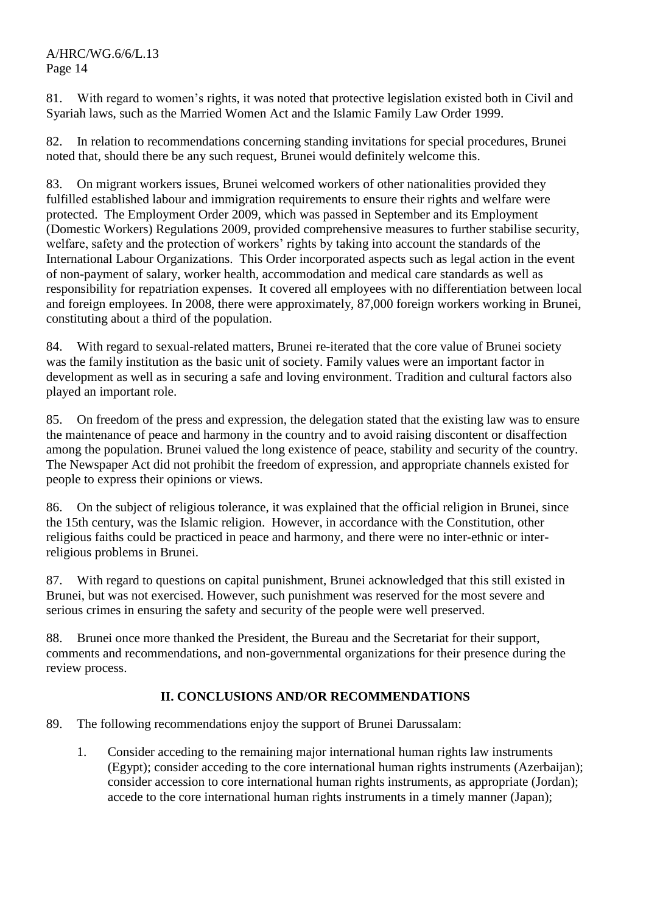81. With regard to women's rights, it was noted that protective legislation existed both in Civil and Syariah laws, such as the Married Women Act and the Islamic Family Law Order 1999.

82. In relation to recommendations concerning standing invitations for special procedures, Brunei noted that, should there be any such request, Brunei would definitely welcome this.

83. On migrant workers issues, Brunei welcomed workers of other nationalities provided they fulfilled established labour and immigration requirements to ensure their rights and welfare were protected. The Employment Order 2009, which was passed in September and its Employment (Domestic Workers) Regulations 2009, provided comprehensive measures to further stabilise security, welfare, safety and the protection of workers' rights by taking into account the standards of the International Labour Organizations. This Order incorporated aspects such as legal action in the event of non-payment of salary, worker health, accommodation and medical care standards as well as responsibility for repatriation expenses. It covered all employees with no differentiation between local and foreign employees. In 2008, there were approximately, 87,000 foreign workers working in Brunei, constituting about a third of the population.

84. With regard to sexual-related matters, Brunei re-iterated that the core value of Brunei society was the family institution as the basic unit of society. Family values were an important factor in development as well as in securing a safe and loving environment. Tradition and cultural factors also played an important role.

85. On freedom of the press and expression, the delegation stated that the existing law was to ensure the maintenance of peace and harmony in the country and to avoid raising discontent or disaffection among the population. Brunei valued the long existence of peace, stability and security of the country. The Newspaper Act did not prohibit the freedom of expression, and appropriate channels existed for people to express their opinions or views.

86. On the subject of religious tolerance, it was explained that the official religion in Brunei, since the 15th century, was the Islamic religion. However, in accordance with the Constitution, other religious faiths could be practiced in peace and harmony, and there were no inter-ethnic or interreligious problems in Brunei.

87. With regard to questions on capital punishment, Brunei acknowledged that this still existed in Brunei, but was not exercised. However, such punishment was reserved for the most severe and serious crimes in ensuring the safety and security of the people were well preserved.

88. Brunei once more thanked the President, the Bureau and the Secretariat for their support, comments and recommendations, and non-governmental organizations for their presence during the review process.

# **II. CONCLUSIONS AND/OR RECOMMENDATIONS**

- 89. The following recommendations enjoy the support of Brunei Darussalam:
	- 1. Consider acceding to the remaining major international human rights law instruments (Egypt); consider acceding to the core international human rights instruments (Azerbaijan); consider accession to core international human rights instruments, as appropriate (Jordan); accede to the core international human rights instruments in a timely manner (Japan);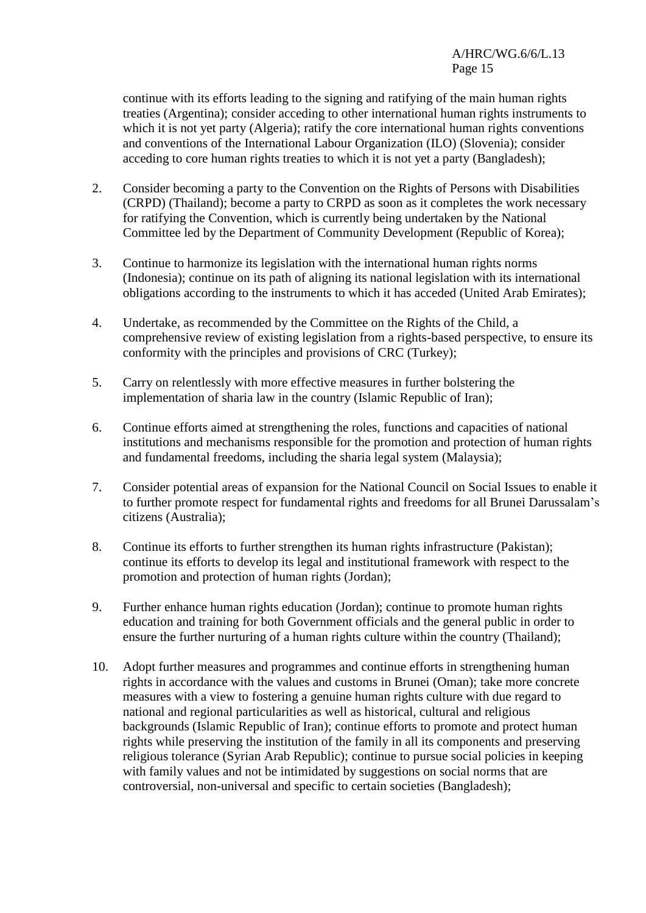continue with its efforts leading to the signing and ratifying of the main human rights treaties (Argentina); consider acceding to other international human rights instruments to which it is not yet party (Algeria); ratify the core international human rights conventions and conventions of the International Labour Organization (ILO) (Slovenia); consider acceding to core human rights treaties to which it is not yet a party (Bangladesh);

- 2. Consider becoming a party to the Convention on the Rights of Persons with Disabilities (CRPD) (Thailand); become a party to CRPD as soon as it completes the work necessary for ratifying the Convention, which is currently being undertaken by the National Committee led by the Department of Community Development (Republic of Korea);
- 3. Continue to harmonize its legislation with the international human rights norms (Indonesia); continue on its path of aligning its national legislation with its international obligations according to the instruments to which it has acceded (United Arab Emirates);
- 4. Undertake, as recommended by the Committee on the Rights of the Child, a comprehensive review of existing legislation from a rights-based perspective, to ensure its conformity with the principles and provisions of CRC (Turkey);
- 5. Carry on relentlessly with more effective measures in further bolstering the implementation of sharia law in the country (Islamic Republic of Iran);
- 6. Continue efforts aimed at strengthening the roles, functions and capacities of national institutions and mechanisms responsible for the promotion and protection of human rights and fundamental freedoms, including the sharia legal system (Malaysia);
- 7. Consider potential areas of expansion for the National Council on Social Issues to enable it to further promote respect for fundamental rights and freedoms for all Brunei Darussalam's citizens (Australia);
- 8. Continue its efforts to further strengthen its human rights infrastructure (Pakistan); continue its efforts to develop its legal and institutional framework with respect to the promotion and protection of human rights (Jordan);
- 9. Further enhance human rights education (Jordan); continue to promote human rights education and training for both Government officials and the general public in order to ensure the further nurturing of a human rights culture within the country (Thailand);
- 10. Adopt further measures and programmes and continue efforts in strengthening human rights in accordance with the values and customs in Brunei (Oman); take more concrete measures with a view to fostering a genuine human rights culture with due regard to national and regional particularities as well as historical, cultural and religious backgrounds (Islamic Republic of Iran); continue efforts to promote and protect human rights while preserving the institution of the family in all its components and preserving religious tolerance (Syrian Arab Republic); continue to pursue social policies in keeping with family values and not be intimidated by suggestions on social norms that are controversial, non-universal and specific to certain societies (Bangladesh);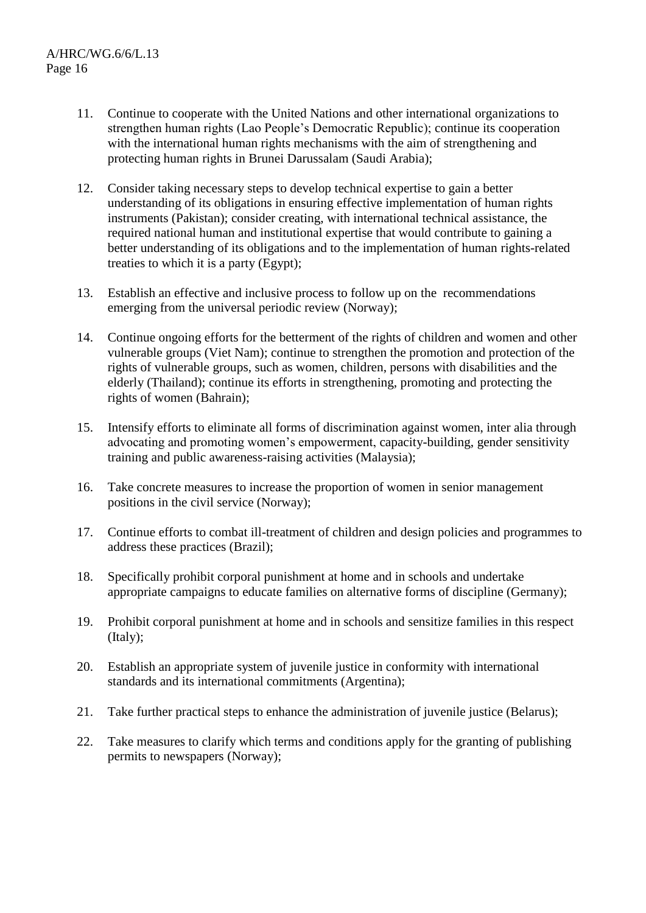- 11. Continue to cooperate with the United Nations and other international organizations to strengthen human rights (Lao People's Democratic Republic); continue its cooperation with the international human rights mechanisms with the aim of strengthening and protecting human rights in Brunei Darussalam (Saudi Arabia);
- 12. Consider taking necessary steps to develop technical expertise to gain a better understanding of its obligations in ensuring effective implementation of human rights instruments (Pakistan); consider creating, with international technical assistance, the required national human and institutional expertise that would contribute to gaining a better understanding of its obligations and to the implementation of human rights-related treaties to which it is a party (Egypt);
- 13. Establish an effective and inclusive process to follow up on the recommendations emerging from the universal periodic review (Norway);
- 14. Continue ongoing efforts for the betterment of the rights of children and women and other vulnerable groups (Viet Nam); continue to strengthen the promotion and protection of the rights of vulnerable groups, such as women, children, persons with disabilities and the elderly (Thailand); continue its efforts in strengthening, promoting and protecting the rights of women (Bahrain);
- 15. Intensify efforts to eliminate all forms of discrimination against women, inter alia through advocating and promoting women's empowerment, capacity-building, gender sensitivity training and public awareness-raising activities (Malaysia);
- 16. Take concrete measures to increase the proportion of women in senior management positions in the civil service (Norway);
- 17. Continue efforts to combat ill-treatment of children and design policies and programmes to address these practices (Brazil);
- 18. Specifically prohibit corporal punishment at home and in schools and undertake appropriate campaigns to educate families on alternative forms of discipline (Germany);
- 19. Prohibit corporal punishment at home and in schools and sensitize families in this respect (Italy);
- 20. Establish an appropriate system of juvenile justice in conformity with international standards and its international commitments (Argentina);
- 21. Take further practical steps to enhance the administration of juvenile justice (Belarus);
- 22. Take measures to clarify which terms and conditions apply for the granting of publishing permits to newspapers (Norway);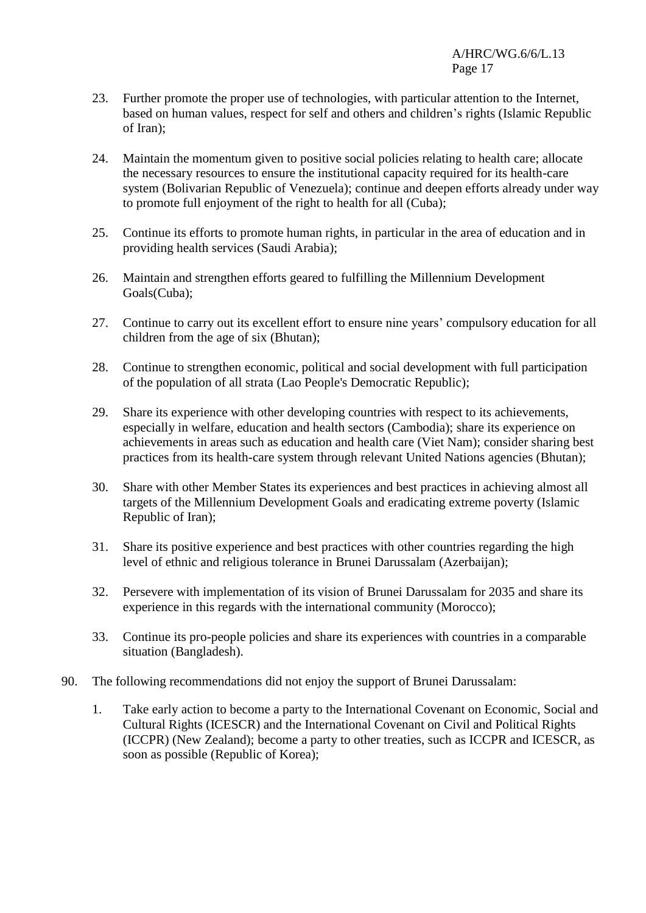- 23. Further promote the proper use of technologies, with particular attention to the Internet, based on human values, respect for self and others and children's rights (Islamic Republic of Iran);
- 24. Maintain the momentum given to positive social policies relating to health care; allocate the necessary resources to ensure the institutional capacity required for its health-care system (Bolivarian Republic of Venezuela); continue and deepen efforts already under way to promote full enjoyment of the right to health for all (Cuba);
- 25. Continue its efforts to promote human rights, in particular in the area of education and in providing health services (Saudi Arabia);
- 26. Maintain and strengthen efforts geared to fulfilling the Millennium Development Goals(Cuba);
- 27. Continue to carry out its excellent effort to ensure nine years' compulsory education for all children from the age of six (Bhutan);
- 28. Continue to strengthen economic, political and social development with full participation of the population of all strata (Lao People's Democratic Republic);
- 29. Share its experience with other developing countries with respect to its achievements, especially in welfare, education and health sectors (Cambodia); share its experience on achievements in areas such as education and health care (Viet Nam); consider sharing best practices from its health-care system through relevant United Nations agencies (Bhutan);
- 30. Share with other Member States its experiences and best practices in achieving almost all targets of the Millennium Development Goals and eradicating extreme poverty (Islamic Republic of Iran);
- 31. Share its positive experience and best practices with other countries regarding the high level of ethnic and religious tolerance in Brunei Darussalam (Azerbaijan);
- 32. Persevere with implementation of its vision of Brunei Darussalam for 2035 and share its experience in this regards with the international community (Morocco);
- 33. Continue its pro-people policies and share its experiences with countries in a comparable situation (Bangladesh).
- 90. The following recommendations did not enjoy the support of Brunei Darussalam:
	- 1. Take early action to become a party to the International Covenant on Economic, Social and Cultural Rights (ICESCR) and the International Covenant on Civil and Political Rights (ICCPR) (New Zealand); become a party to other treaties, such as ICCPR and ICESCR, as soon as possible (Republic of Korea);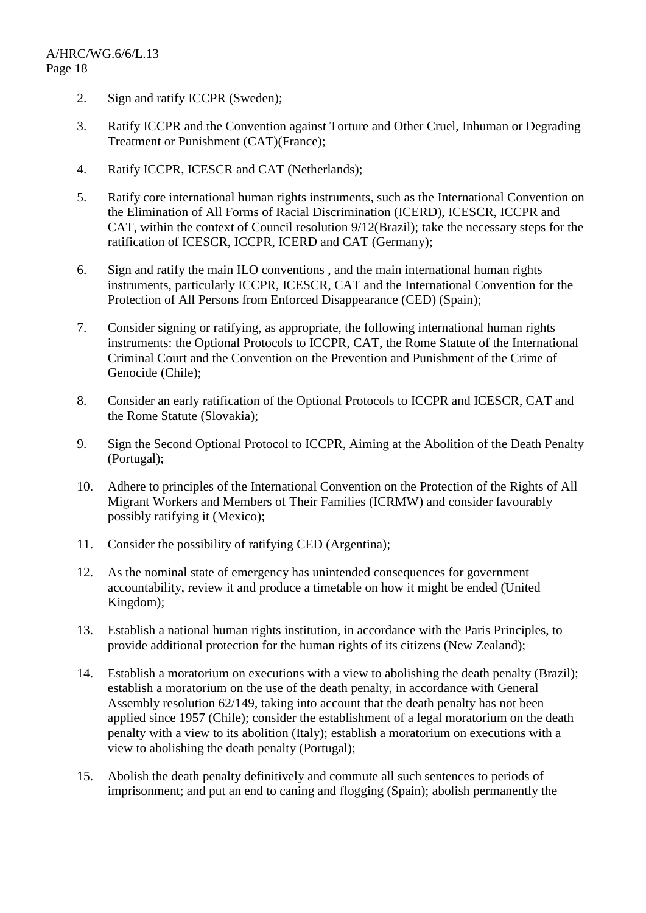- 2. Sign and ratify ICCPR (Sweden);
- 3. Ratify ICCPR and the Convention against Torture and Other Cruel, Inhuman or Degrading Treatment or Punishment (CAT)(France);
- 4. Ratify ICCPR, ICESCR and CAT (Netherlands);
- 5. Ratify core international human rights instruments, such as the International Convention on the Elimination of All Forms of Racial Discrimination (ICERD), ICESCR, ICCPR and CAT, within the context of Council resolution 9/12(Brazil); take the necessary steps for the ratification of ICESCR, ICCPR, ICERD and CAT (Germany);
- 6. Sign and ratify the main ILO conventions , and the main international human rights instruments, particularly ICCPR, ICESCR, CAT and the International Convention for the Protection of All Persons from Enforced Disappearance (CED) (Spain);
- 7. Consider signing or ratifying, as appropriate, the following international human rights instruments: the Optional Protocols to ICCPR, CAT, the Rome Statute of the International Criminal Court and the Convention on the Prevention and Punishment of the Crime of Genocide (Chile);
- 8. Consider an early ratification of the Optional Protocols to ICCPR and ICESCR, CAT and the Rome Statute (Slovakia);
- 9. Sign the Second Optional Protocol to ICCPR, Aiming at the Abolition of the Death Penalty (Portugal);
- 10. Adhere to principles of the International Convention on the Protection of the Rights of All Migrant Workers and Members of Their Families (ICRMW) and consider favourably possibly ratifying it (Mexico);
- 11. Consider the possibility of ratifying CED (Argentina);
- 12. As the nominal state of emergency has unintended consequences for government accountability, review it and produce a timetable on how it might be ended (United Kingdom);
- 13. Establish a national human rights institution, in accordance with the Paris Principles, to provide additional protection for the human rights of its citizens (New Zealand);
- 14. Establish a moratorium on executions with a view to abolishing the death penalty (Brazil); establish a moratorium on the use of the death penalty, in accordance with General Assembly resolution 62/149, taking into account that the death penalty has not been applied since 1957 (Chile); consider the establishment of a legal moratorium on the death penalty with a view to its abolition (Italy); establish a moratorium on executions with a view to abolishing the death penalty (Portugal);
- 15. Abolish the death penalty definitively and commute all such sentences to periods of imprisonment; and put an end to caning and flogging (Spain); abolish permanently the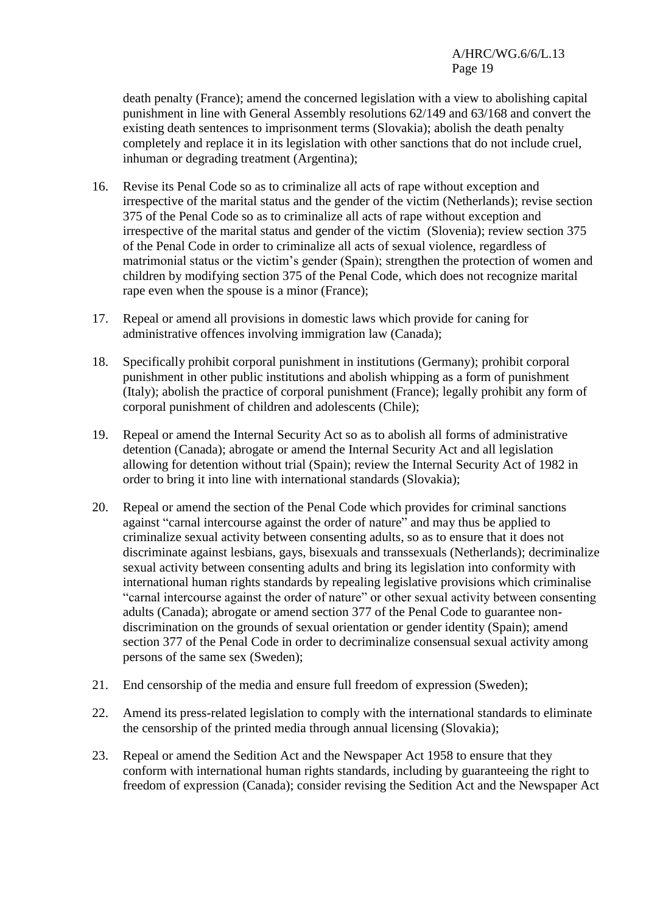death penalty (France); amend the concerned legislation with a view to abolishing capital punishment in line with General Assembly resolutions 62/149 and 63/168 and convert the existing death sentences to imprisonment terms (Slovakia); abolish the death penalty completely and replace it in its legislation with other sanctions that do not include cruel, inhuman or degrading treatment (Argentina);

- 16. Revise its Penal Code so as to criminalize all acts of rape without exception and irrespective of the marital status and the gender of the victim (Netherlands); revise section 375 of the Penal Code so as to criminalize all acts of rape without exception and irrespective of the marital status and gender of the victim (Slovenia); review section 375 of the Penal Code in order to criminalize all acts of sexual violence, regardless of matrimonial status or the victim's gender (Spain); strengthen the protection of women and children by modifying section 375 of the Penal Code, which does not recognize marital rape even when the spouse is a minor (France);
- 17. Repeal or amend all provisions in domestic laws which provide for caning for administrative offences involving immigration law (Canada);
- 18. Specifically prohibit corporal punishment in institutions (Germany); prohibit corporal punishment in other public institutions and abolish whipping as a form of punishment (Italy); abolish the practice of corporal punishment (France); legally prohibit any form of corporal punishment of children and adolescents (Chile);
- 19. Repeal or amend the Internal Security Act so as to abolish all forms of administrative detention (Canada); abrogate or amend the Internal Security Act and all legislation allowing for detention without trial (Spain); review the Internal Security Act of 1982 in order to bring it into line with international standards (Slovakia);
- 20. Repeal or amend the section of the Penal Code which provides for criminal sanctions against "carnal intercourse against the order of nature" and may thus be applied to criminalize sexual activity between consenting adults, so as to ensure that it does not discriminate against lesbians, gays, bisexuals and transsexuals (Netherlands); decriminalize sexual activity between consenting adults and bring its legislation into conformity with international human rights standards by repealing legislative provisions which criminalise "carnal intercourse against the order of nature" or other sexual activity between consenting adults (Canada); abrogate or amend section 377 of the Penal Code to guarantee nondiscrimination on the grounds of sexual orientation or gender identity (Spain); amend section 377 of the Penal Code in order to decriminalize consensual sexual activity among persons of the same sex (Sweden);
- 21. End censorship of the media and ensure full freedom of expression (Sweden);
- 22. Amend its press-related legislation to comply with the international standards to eliminate the censorship of the printed media through annual licensing (Slovakia);
- 23. Repeal or amend the Sedition Act and the Newspaper Act 1958 to ensure that they conform with international human rights standards, including by guaranteeing the right to freedom of expression (Canada); consider revising the Sedition Act and the Newspaper Act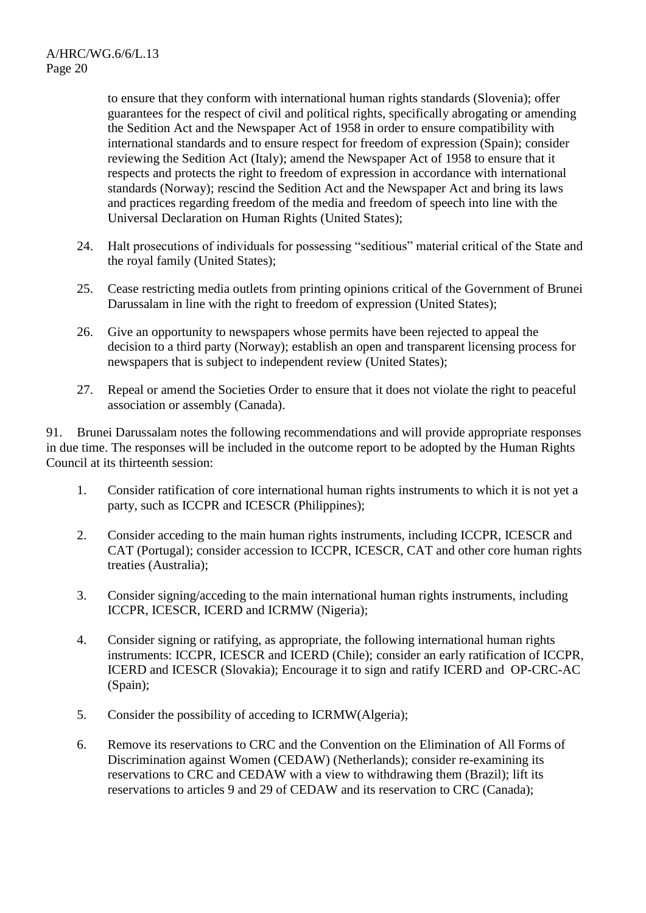to ensure that they conform with international human rights standards (Slovenia); offer guarantees for the respect of civil and political rights, specifically abrogating or amending the Sedition Act and the Newspaper Act of 1958 in order to ensure compatibility with international standards and to ensure respect for freedom of expression (Spain); consider reviewing the Sedition Act (Italy); amend the Newspaper Act of 1958 to ensure that it respects and protects the right to freedom of expression in accordance with international standards (Norway); rescind the Sedition Act and the Newspaper Act and bring its laws and practices regarding freedom of the media and freedom of speech into line with the Universal Declaration on Human Rights (United States);

- 24. Halt prosecutions of individuals for possessing "seditious" material critical of the State and the royal family (United States);
- 25. Cease restricting media outlets from printing opinions critical of the Government of Brunei Darussalam in line with the right to freedom of expression (United States);
- 26. Give an opportunity to newspapers whose permits have been rejected to appeal the decision to a third party (Norway); establish an open and transparent licensing process for newspapers that is subject to independent review (United States);
- 27. Repeal or amend the Societies Order to ensure that it does not violate the right to peaceful association or assembly (Canada).

91. Brunei Darussalam notes the following recommendations and will provide appropriate responses in due time. The responses will be included in the outcome report to be adopted by the Human Rights Council at its thirteenth session:

- 1. Consider ratification of core international human rights instruments to which it is not yet a party, such as ICCPR and ICESCR (Philippines);
- 2. Consider acceding to the main human rights instruments, including ICCPR, ICESCR and CAT (Portugal); consider accession to ICCPR, ICESCR, CAT and other core human rights treaties (Australia);
- 3. Consider signing/acceding to the main international human rights instruments, including ICCPR, ICESCR, ICERD and ICRMW (Nigeria);
- 4. Consider signing or ratifying, as appropriate, the following international human rights instruments: ICCPR, ICESCR and ICERD (Chile); consider an early ratification of ICCPR, ICERD and ICESCR (Slovakia); Encourage it to sign and ratify ICERD and OP-CRC-AC (Spain);
- 5. Consider the possibility of acceding to ICRMW(Algeria);
- 6. Remove its reservations to CRC and the Convention on the Elimination of All Forms of Discrimination against Women (CEDAW) (Netherlands); consider re-examining its reservations to CRC and CEDAW with a view to withdrawing them (Brazil); lift its reservations to articles 9 and 29 of CEDAW and its reservation to CRC (Canada);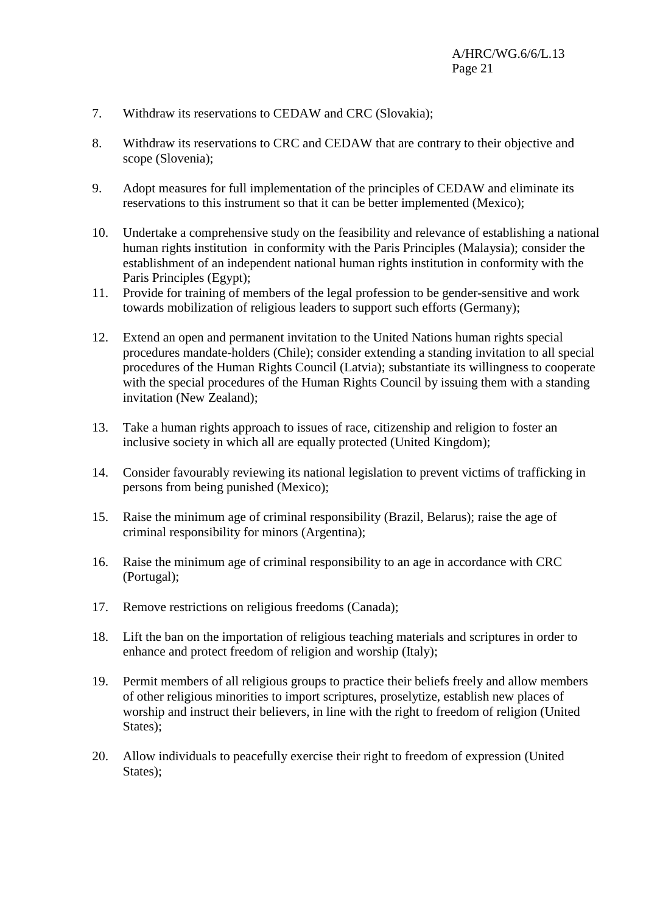- 7. Withdraw its reservations to CEDAW and CRC (Slovakia);
- 8. Withdraw its reservations to CRC and CEDAW that are contrary to their objective and scope (Slovenia);
- 9. Adopt measures for full implementation of the principles of CEDAW and eliminate its reservations to this instrument so that it can be better implemented (Mexico);
- 10. Undertake a comprehensive study on the feasibility and relevance of establishing a national human rights institution in conformity with the Paris Principles (Malaysia); consider the establishment of an independent national human rights institution in conformity with the Paris Principles (Egypt);
- 11. Provide for training of members of the legal profession to be gender-sensitive and work towards mobilization of religious leaders to support such efforts (Germany);
- 12. Extend an open and permanent invitation to the United Nations human rights special procedures mandate-holders (Chile); consider extending a standing invitation to all special procedures of the Human Rights Council (Latvia); substantiate its willingness to cooperate with the special procedures of the Human Rights Council by issuing them with a standing invitation (New Zealand);
- 13. Take a human rights approach to issues of race, citizenship and religion to foster an inclusive society in which all are equally protected (United Kingdom);
- 14. Consider favourably reviewing its national legislation to prevent victims of trafficking in persons from being punished (Mexico);
- 15. Raise the minimum age of criminal responsibility (Brazil, Belarus); raise the age of criminal responsibility for minors (Argentina);
- 16. Raise the minimum age of criminal responsibility to an age in accordance with CRC (Portugal);
- 17. Remove restrictions on religious freedoms (Canada);
- 18. Lift the ban on the importation of religious teaching materials and scriptures in order to enhance and protect freedom of religion and worship (Italy);
- 19. Permit members of all religious groups to practice their beliefs freely and allow members of other religious minorities to import scriptures, proselytize, establish new places of worship and instruct their believers, in line with the right to freedom of religion (United States);
- 20. Allow individuals to peacefully exercise their right to freedom of expression (United States);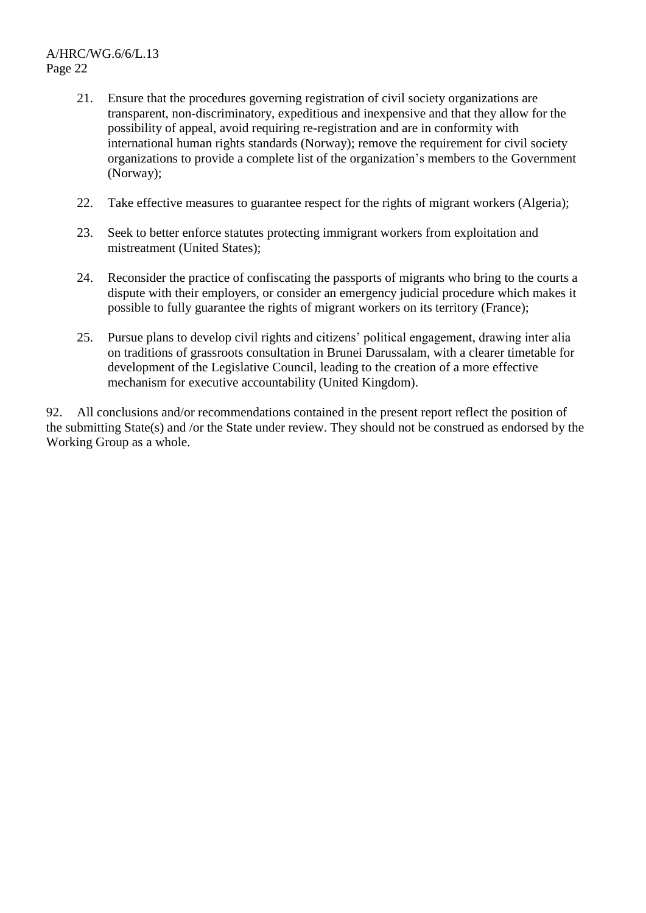- 21. Ensure that the procedures governing registration of civil society organizations are transparent, non-discriminatory, expeditious and inexpensive and that they allow for the possibility of appeal, avoid requiring re-registration and are in conformity with international human rights standards (Norway); remove the requirement for civil society organizations to provide a complete list of the organization's members to the Government (Norway);
- 22. Take effective measures to guarantee respect for the rights of migrant workers (Algeria);
- 23. Seek to better enforce statutes protecting immigrant workers from exploitation and mistreatment (United States);
- 24. Reconsider the practice of confiscating the passports of migrants who bring to the courts a dispute with their employers, or consider an emergency judicial procedure which makes it possible to fully guarantee the rights of migrant workers on its territory (France);
- 25. Pursue plans to develop civil rights and citizens' political engagement, drawing inter alia on traditions of grassroots consultation in Brunei Darussalam, with a clearer timetable for development of the Legislative Council, leading to the creation of a more effective mechanism for executive accountability (United Kingdom).

92. All conclusions and/or recommendations contained in the present report reflect the position of the submitting State(s) and /or the State under review. They should not be construed as endorsed by the Working Group as a whole.